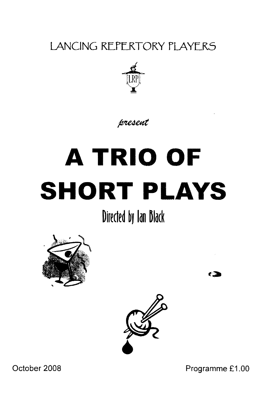LANCING REPERTORY PLAYERS



#### present

# **A TRIO OF SHORT PLAYS**

Directed by Ian Black





Programme £1.00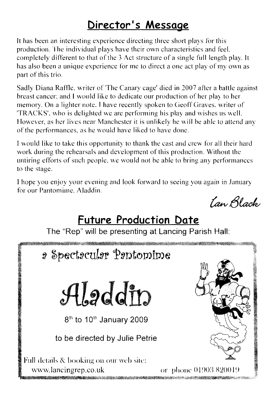#### Director's Message

It has been an interesting experience directing three short plays for this production. The individual plays have their own characteristics and feel. completely different to that of the 3 Act structure of a single full length play. It has also been a unique experience for me to direct a one act play of my own as part of this trio.

Sadly Diana Raffle, writer of 'The Canary cage' died in 2007 after a battle against breast cancer; and I would like to dedicate our production of her play to her memory. On a lighter note, I have recently spoken to Geoff Graves, writer of 'TRACKS', who is delighted we are performing his play and wishes us well. However, as her lives near Manchester it is unlikely he will be able to attend any of the performances, as he would have liked to have done.

I would like to take this opportunity to thank the cast and crew for all their hard work during the rehearsals and development of this production. Without the untiring efforts of such people, we would not be able to bring any performances to the stage.

I hope you enjoy your evening and look forward to seeing you again in January for our Pantomime Aladdin

*Lan Black* 

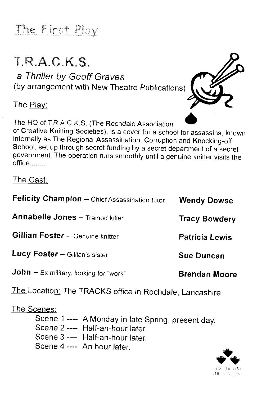## The First Play

## T.R.A.C.K.S

a Thriller by Geoff Graves (by arrangement with New Theatre publications)

The Play:

The HQ of T.R.A.C.K.S. (The Rochdale Association



of Creative Knitting Societies), is a cover for a school for assassins, known internally as The Regional Assassination, Corruption and Knocking-off School, set up through secret funding by a secret department of a secret government. The operation runs smoothly until a genuine knitter visits the office........

#### The Cast:

| Felicity Champion - Chief Assassination tutor | <b>Wendy Dowse</b>    |
|-----------------------------------------------|-----------------------|
| <b>Annabelle Jones - Trained killer</b>       | <b>Tracy Bowdery</b>  |
| Gillian Foster - Genuine knitter              | <b>Patricia Lewis</b> |
| Lucy Foster - Gillian's sister                | <b>Sue Duncan</b>     |
| <b>John</b> – Ex military, looking for "work" | <b>Brendan Moore</b>  |

The Location: The TRACKS office in Rochdale, Lancashire

#### The Scenes:

- Scene 1 ---- A Monday in late Spring, present day.
- Scene 2 ---- Half-an-hour later
- Scene 3 ---- Half-an-hour later.
- Scene 4 ---- An hour later.

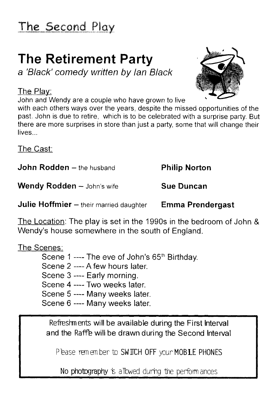## The Second Play

# **The Retirement Party**

a 'Black' comedy written by Ian Black

#### The Play:

John and Wendy are a couple who have grown to live



The Cast:

**John Rodden** - the husband

Wendy Rodden - John's wife

**Julie Hoffmier** - their married daughter

**Philip Norton** 

**Sue Duncan** 

**Emma Prendergast** 

The Location: The play is set in the 1990s in the bedroom of John & Wendy's house somewhere in the south of England.

#### The Scenes:

Scene 1 ---- The eve of John's 65<sup>th</sup> Birthday. Scene 2 ---- A few hours later Scene 3 ---- Early morning. Scene 4 ---- Two weeks later. Scene 5 ---- Many weeks later. Scene 6 ---- Many weeks later.

Refreshments will be available during the First Interval and the Raffe will be drawn during the Second Interval

Please remember to SWIICH OFF your MOBILE PHONES

No photography is a Towed during the perform ances

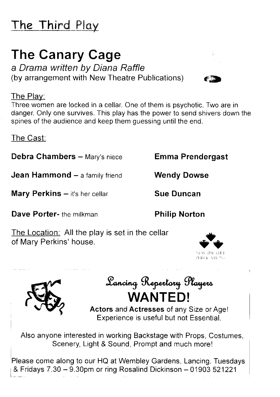## The Third Play

## The Canary Cage

a Drama written by Diana Raffle (by arrangement with New Theatre Publications)

#### The Play:

Three women are locked in a cellar. One of them is psychotic. Two are in danger. Only one survives. This play has the power to send shivers down the spines of the audience and keep them guessing until the end.

The Cast.

Debra Chambers - Mary's niece Emma Prendergast

**Jean Hammond**  $-$  a family friend Wendy Dowse

Mary Perkins - it's her cellar Sue Duncan

Dave Porter- the milkman **Philip Norton** 

The Location: All the play is set in the cellar of Mary Perkins' house.



Sancing Repertory Players WANTED!

Actors and Actresses of any Size or Age! Experience is useful but not Essential.

Also anyone interested in working Backstage with Props, Costumes, Scenery, Light & Sound, Prompt and much more!

Please come along to our HQ at Wembley Gardens, Lancing. Tuesdays & Fridays 7.30 - 9.30pm or ring Rosalind Dickinson - 01903 521221